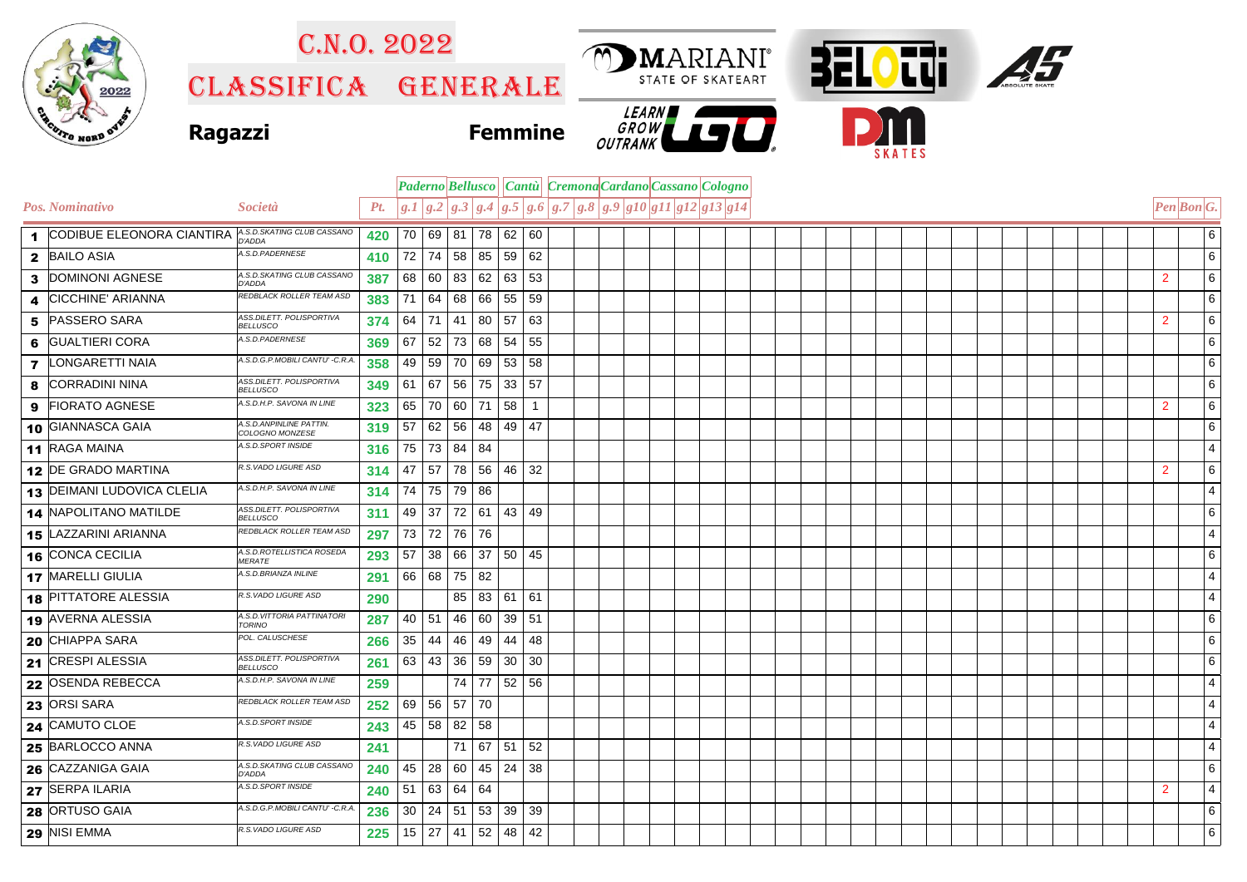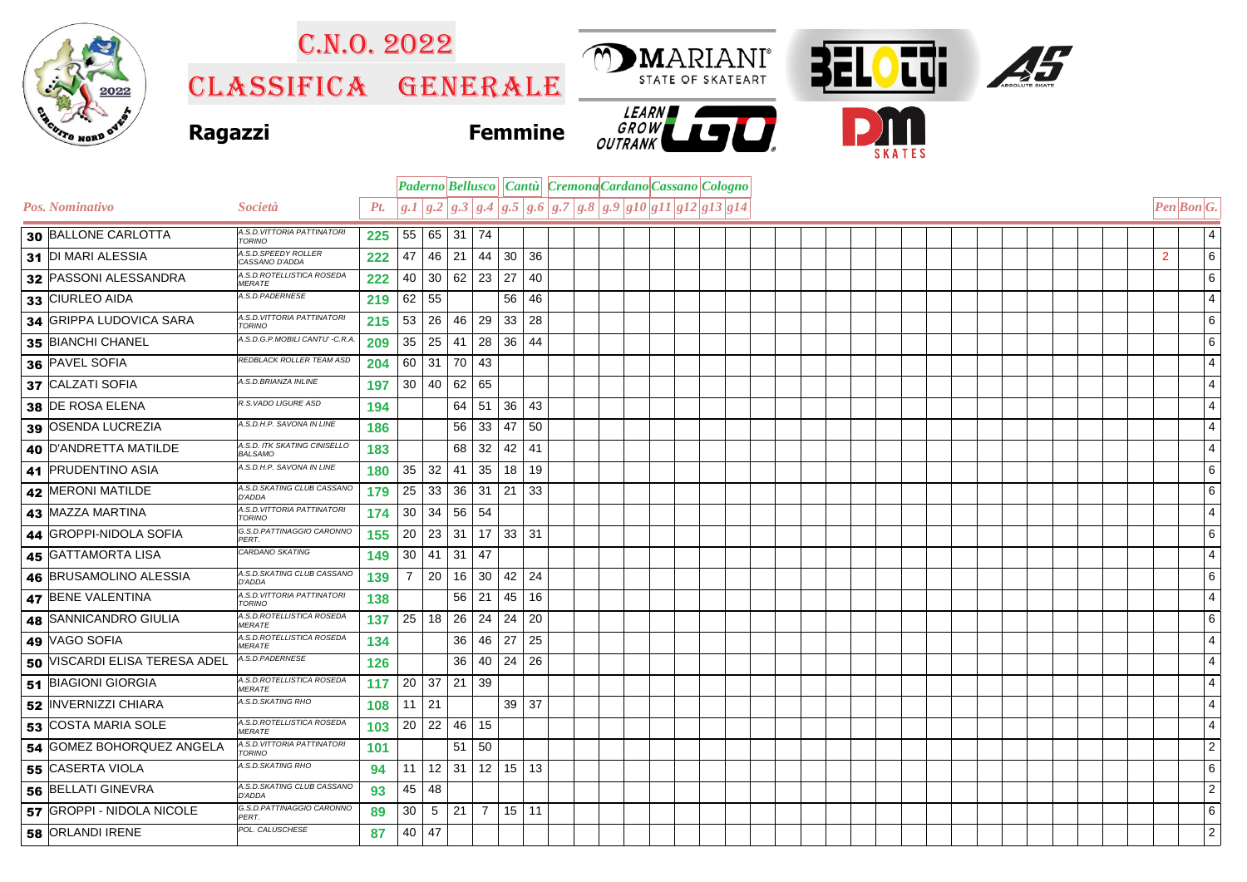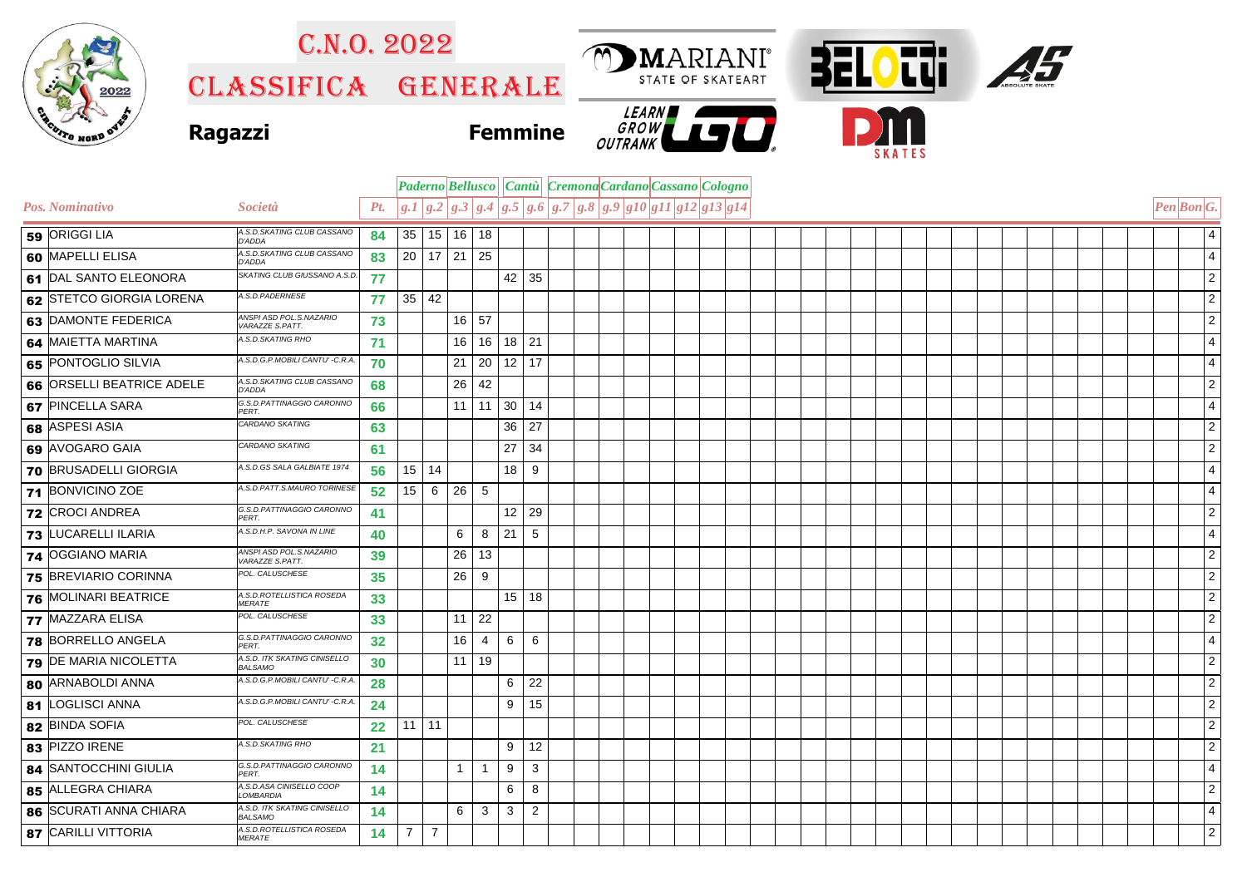